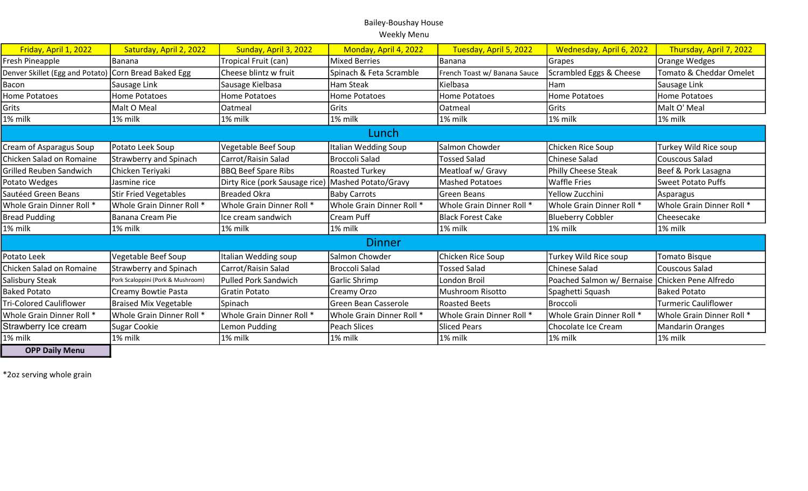| Friday, April 1, 2022           | Saturday, April 2, 2022           | Sunday, April 3, 2022                              | Monday, April 4, 2022       | Tuesday, April 5, 2022       | Wednesday, April 6, 2022                        | Thursday, April 7, 2022     |
|---------------------------------|-----------------------------------|----------------------------------------------------|-----------------------------|------------------------------|-------------------------------------------------|-----------------------------|
| Fresh Pineapple                 | Banana                            | Tropical Fruit (can)                               | Mixed Berries               | Banana                       | Grapes                                          | Orange Wedges               |
| Denver Skillet (Egg and Potato) | Corn Bread Baked Egg              | Cheese blintz w fruit                              | Spinach & Feta Scramble     | French Toast w/ Banana Sauce | Scrambled Eggs & Cheese                         | Tomato & Cheddar Omelet     |
| Bacon                           | Sausage Link                      | Sausage Kielbasa                                   | <b>Ham Steak</b>            | Kielbasa                     | Ham                                             | Sausage Link                |
| <b>Home Potatoes</b>            | Home Potatoes                     | <b>Home Potatoes</b>                               | <b>Home Potatoes</b>        | Home Potatoes                | <b>Home Potatoes</b>                            | <b>Home Potatoes</b>        |
| Grits                           | Malt O Meal                       | Oatmeal                                            | <b>Grits</b>                | Oatmeal                      | Grits                                           | Malt O' Meal                |
| 1% milk                         | 1% milk                           | 1% milk                                            | 1% milk                     | 1% milk                      | 1% milk                                         | 1% milk                     |
| Lunch                           |                                   |                                                    |                             |                              |                                                 |                             |
| Cream of Asparagus Soup         | Potato Leek Soup                  | Vegetable Beef Soup                                | Italian Wedding Soup        | Salmon Chowder               | Chicken Rice Soup                               | Turkey Wild Rice soup       |
| Chicken Salad on Romaine        | <b>Strawberry and Spinach</b>     | Carrot/Raisin Salad                                | Broccoli Salad              | <b>Tossed Salad</b>          | <b>Chinese Salad</b>                            | Couscous Salad              |
| <b>Grilled Reuben Sandwich</b>  | Chicken Teriyaki                  | <b>BBQ Beef Spare Ribs</b>                         | <b>Roasted Turkey</b>       | Meatloaf w/ Gravy            | <b>Philly Cheese Steak</b>                      | Beef & Pork Lasagna         |
| Potato Wedges                   | Jasmine rice                      | Dirty Rice (pork Sausage rice) Mashed Potato/Gravy |                             | <b>Mashed Potatoes</b>       | <b>Waffle Fries</b>                             | <b>Sweet Potato Puffs</b>   |
| Sautéed Green Beans             | <b>Stir Fried Vegetables</b>      | <b>Breaded Okra</b>                                | <b>Baby Carrots</b>         | Green Beans                  | Yellow Zucchini                                 | Asparagus                   |
| Whole Grain Dinner Roll *       | Whole Grain Dinner Roll *         | Whole Grain Dinner Roll *                          | Whole Grain Dinner Roll *   | Whole Grain Dinner Roll *    | Whole Grain Dinner Roll *                       | Whole Grain Dinner Roll *   |
| <b>Bread Pudding</b>            | Banana Cream Pie                  | Ice cream sandwich                                 | Cream Puff                  | <b>Black Forest Cake</b>     | Blueberry Cobbler                               | Cheesecake                  |
| 1% milk                         | 1% milk                           | 1% milk                                            | 1% milk                     | 1% milk                      | 1% milk                                         | 1% milk                     |
| <b>Dinner</b>                   |                                   |                                                    |                             |                              |                                                 |                             |
| Potato Leek                     | Vegetable Beef Soup               | Italian Wedding soup                               | Salmon Chowder              | Chicken Rice Soup            | Turkey Wild Rice soup                           | Tomato Bisque               |
| Chicken Salad on Romaine        | <b>Strawberry and Spinach</b>     | Carrot/Raisin Salad                                | Broccoli Salad              | <b>Tossed Salad</b>          | <b>Chinese Salad</b>                            | Couscous Salad              |
| Salisbury Steak                 | Pork Scaloppini (Pork & Mushroom) | <b>Pulled Pork Sandwich</b>                        | Garlic Shrimp               | <b>London Broil</b>          | Poached Salmon w/ Bernaise Chicken Pene Alfredo |                             |
| <b>Baked Potato</b>             | Creamy Bowtie Pasta               | Gratin Potato                                      | Creamy Orzo                 | <b>Mushroom Risotto</b>      | Spaghetti Squash                                | <b>Baked Potato</b>         |
| <b>Tri-Colored Cauliflower</b>  | <b>Braised Mix Vegetable</b>      | Spinach                                            | <b>Green Bean Casserole</b> | <b>Roasted Beets</b>         | Broccoli                                        | <b>Turmeric Cauliflower</b> |
| Whole Grain Dinner Roll *       | Whole Grain Dinner Roll *         | Whole Grain Dinner Roll *                          | Whole Grain Dinner Roll *   | Whole Grain Dinner Roll *    | Whole Grain Dinner Roll *                       | Whole Grain Dinner Roll *   |
| Strawberry Ice cream            | Sugar Cookie                      | Lemon Pudding                                      | Peach Slices                | <b>Sliced Pears</b>          | Chocolate Ice Cream                             | <b>Mandarin Oranges</b>     |
| 1% milk                         | 1% milk                           | 1% milk                                            | 1% milk                     | 1% milk                      | 1% milk                                         | 1% milk                     |
| <b>OPP Daily Menu</b>           |                                   |                                                    |                             |                              |                                                 |                             |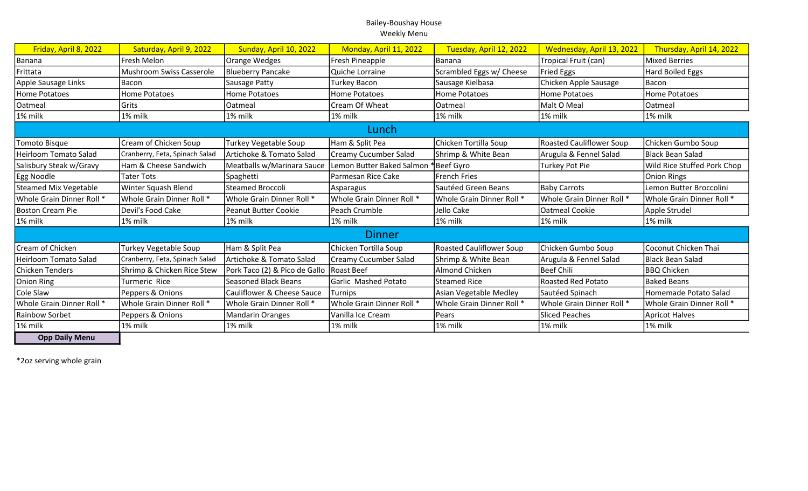| Friday, April 8, 2022     | Saturday, April 9, 2022         | Sunday, April 10, 2022                   | Monday, April 11, 2022       | Tuesday, April 12, 2022         | Wednesday, April 13, 2022       | Thursday, April 14, 2022    |
|---------------------------|---------------------------------|------------------------------------------|------------------------------|---------------------------------|---------------------------------|-----------------------------|
| Banana                    | Fresh Melon                     | Orange Wedges                            | Fresh Pineapple              | Banana                          | Tropical Fruit (can)            | <b>Mixed Berries</b>        |
| Frittata                  | <b>Mushroom Swiss Casserole</b> | <b>Blueberry Pancake</b>                 | Quiche Lorraine              | Scrambled Eggs w/ Cheese        | <b>Fried Eggs</b>               | Hard Boiled Eggs            |
| Apple Sausage Links       | Bacon                           | Sausage Patty                            | <b>Turkey Bacon</b>          | Sausage Kielbasa                | Chicken Apple Sausage           | Bacon                       |
| Home Potatoes             | Home Potatoes                   | <b>Home Potatoes</b>                     | <b>Home Potatoes</b>         | <b>Home Potatoes</b>            | <b>Home Potatoes</b>            | <b>Home Potatoes</b>        |
| Oatmeal                   | Grits                           | Oatmeal                                  | Cream Of Wheat               | Oatmeal                         | Malt O Meal                     | Oatmeal                     |
| 1% milk                   | 1% milk                         | 1% milk                                  | 1% milk                      | 1% milk                         | 1% milk                         | 1% milk                     |
|                           |                                 |                                          | Lunch                        |                                 |                                 |                             |
| Tomoto Bisque             | Cream of Chicken Soup           | Turkey Vegetable Soup                    | Ham & Split Pea              | Chicken Tortilla Soup           | <b>Roasted Cauliflower Soup</b> | Chicken Gumbo Soup          |
| Heirloom Tomato Salad     | Cranberry, Feta, Spinach Salad  | Artichoke & Tomato Salad                 | <b>Creamy Cucumber Salad</b> | Shrimp & White Bean             | Arugula & Fennel Salad          | Black Bean Salad            |
| Salisbury Steak w/Gravy   | Ham & Cheese Sandwich           | Meatballs w/Marinara Sauce               | Lemon Butter Baked Salmon    | *Beef Gyro                      | <b>Turkey Pot Pie</b>           | Wild Rice Stuffed Pork Chop |
| Egg Noodle                | Tater Tots                      | Spaghetti                                | Parmesan Rice Cake           | <b>French Fries</b>             |                                 | <b>Onion Rings</b>          |
| Steamed Mix Vegetable     | Winter Squash Blend             | <b>Steamed Broccoli</b>                  | Asparagus                    | Sautéed Green Beans             | <b>Baby Carrots</b>             | Lemon Butter Broccolini     |
| Whole Grain Dinner Roll * | Whole Grain Dinner Roll *       | Whole Grain Dinner Roll *                | Whole Grain Dinner Roll *    | Whole Grain Dinner Roll *       | Whole Grain Dinner Roll *       | Whole Grain Dinner Roll *   |
| Boston Cream Pie          | Devil's Food Cake               | <b>Peanut Butter Cookie</b>              | Peach Crumble                | Jello Cake                      | <b>Oatmeal Cookie</b>           | Apple Strudel               |
| 1% milk                   | 1% milk                         | 1% milk                                  | 1% milk                      | 1% milk                         | 1% milk                         | 1% milk                     |
| <b>Dinner</b>             |                                 |                                          |                              |                                 |                                 |                             |
| Cream of Chicken          | Turkey Vegetable Soup           | Ham & Split Pea                          | Chicken Tortilla Soup        | <b>Roasted Cauliflower Soup</b> | Chicken Gumbo Soup              | Coconut Chicken Thai        |
| Heirloom Tomato Salad     | Cranberry, Feta, Spinach Salad  | Artichoke & Tomato Salad                 | <b>Creamy Cucumber Salad</b> | Shrimp & White Bean             | Arugula & Fennel Salad          | Black Bean Salad            |
| Chicken Tenders           | Shrimp & Chicken Rice Stew      | Pork Taco (2) & Pico de Gallo Roast Beef |                              | <b>Almond Chicken</b>           | <b>Beef Chili</b>               | <b>BBQ Chicken</b>          |
| Onion Ring                | Turmeric Rice                   | <b>Seasoned Black Beans</b>              | Garlic Mashed Potato         | <b>Steamed Rice</b>             | <b>Roasted Red Potato</b>       | <b>Baked Beans</b>          |
| Cole Slaw                 | Peppers & Onions                | Cauliflower & Cheese Sauce               | Turnips                      | Asian Vegetable Medley          | Sautéed Spinach                 | Homemade Potato Salad       |
| Whole Grain Dinner Roll * | Whole Grain Dinner Roll *       | Whole Grain Dinner Roll *                | Whole Grain Dinner Roll *    | Whole Grain Dinner Roll *       | Whole Grain Dinner Roll *       | Whole Grain Dinner Roll *   |
| Rainbow Sorbet            | Peppers & Onions                | <b>Mandarin Oranges</b>                  | Vanilla Ice Cream            | Pears                           | <b>Sliced Peaches</b>           | Apricot Halves              |
| 1% milk                   | 1% milk                         | 1% milk                                  | 1% milk                      | 1% milk                         | 1% milk                         | 1% milk                     |
| <b>Opp Daily Menu</b>     |                                 |                                          |                              |                                 |                                 |                             |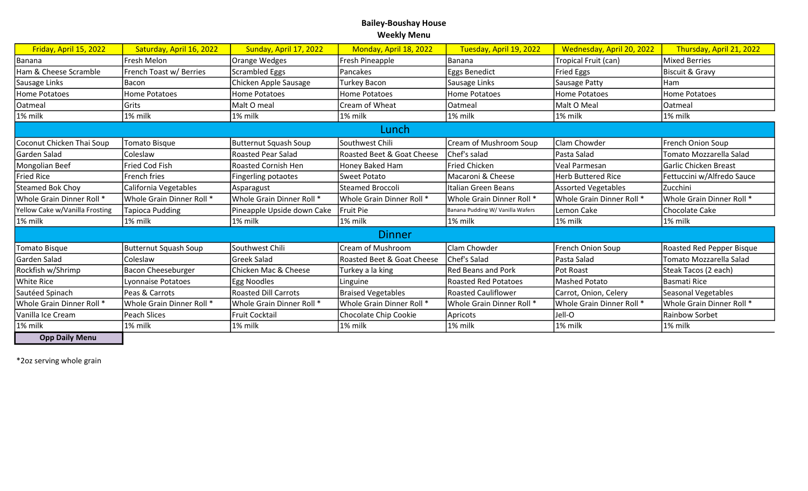| Friday, April 15, 2022         | Saturday, April 16, 2022     | Sunday, April 17, 2022       | Monday, April 18, 2022     | Tuesday, April 19, 2022          | Wednesday, April 20, 2022 | Thursday, April 21, 2022   |
|--------------------------------|------------------------------|------------------------------|----------------------------|----------------------------------|---------------------------|----------------------------|
| Banana                         | Fresh Melon                  | Orange Wedges                | Fresh Pineapple            | Banana                           | Tropical Fruit (can)      | <b>Mixed Berries</b>       |
| Ham & Cheese Scramble          | French Toast w/ Berries      | <b>Scrambled Eggs</b>        | Pancakes                   | Eggs Benedict                    | <b>Fried Eggs</b>         | <b>Biscuit &amp; Gravy</b> |
| Sausage Links                  | Bacon                        | Chicken Apple Sausage        | Turkey Bacon               | Sausage Links                    | Sausage Patty             | Ham                        |
| Home Potatoes                  | Home Potatoes                | <b>Home Potatoes</b>         | <b>Home Potatoes</b>       | Home Potatoes                    | Home Potatoes             | <b>Home Potatoes</b>       |
| Oatmeal                        | Grits                        | Malt O meal                  | Cream of Wheat             | Oatmeal                          | Malt O Meal               | Oatmeal                    |
| 1% milk                        | 1% milk                      | 1% milk                      | 1% milk                    | 1% milk                          | 1% milk                   | 1% milk                    |
| Lunch                          |                              |                              |                            |                                  |                           |                            |
| Coconut Chicken Thai Soup      | <b>Tomato Bisque</b>         | <b>Butternut Squash Soup</b> | Southwest Chili            | Cream of Mushroom Soup           | Clam Chowder              | French Onion Soup          |
| Garden Salad                   | Coleslaw                     | <b>Roasted Pear Salad</b>    | Roasted Beet & Goat Cheese | Chef's salad                     | Pasta Salad               | Tomato Mozzarella Salad    |
| Mongolian Beef                 | <b>Fried Cod Fish</b>        | <b>Roasted Cornish Hen</b>   | Honey Baked Ham            | <b>Fried Chicken</b>             | <b>Veal Parmesan</b>      | Garlic Chicken Breast      |
| <b>Fried Rice</b>              | French fries                 | Fingerling potaotes          | <b>Sweet Potato</b>        | Macaroni & Cheese                | <b>Herb Buttered Rice</b> | Fettuccini w/Alfredo Sauce |
| Steamed Bok Choy               | California Vegetables        | Asparagust                   | <b>Steamed Broccoli</b>    | Italian Green Beans              | Assorted Vegetables       | Zucchini                   |
| Whole Grain Dinner Roll *      | Whole Grain Dinner Roll *    | Whole Grain Dinner Roll *    | Whole Grain Dinner Roll *  | Whole Grain Dinner Roll *        | Whole Grain Dinner Roll * | Whole Grain Dinner Roll *  |
| Yellow Cake w/Vanilla Frosting | Tapioca Pudding              | Pineapple Upside down Cake   | Fruit Pie                  | Banana Pudding W/ Vanilla Wafers | Lemon Cake                | Chocolate Cake             |
| 1% milk                        | 1% milk                      | 1% milk                      | 1% milk                    | $1\%$ milk                       | 1% milk                   | 1% milk                    |
| <b>Dinner</b>                  |                              |                              |                            |                                  |                           |                            |
| <b>Tomato Bisque</b>           | <b>Butternut Squash Soup</b> | Southwest Chili              | Cream of Mushroom          | Clam Chowder                     | French Onion Soup         | Roasted Red Pepper Bisque  |
| Garden Salad                   | Coleslaw                     | <b>Greek Salad</b>           | Roasted Beet & Goat Cheese | Chef's Salad                     | Pasta Salad               | Tomato Mozzarella Salad    |
| Rockfish w/Shrimp              | <b>Bacon Cheeseburger</b>    | Chicken Mac & Cheese         | Turkey a la king           | <b>Red Beans and Pork</b>        | Pot Roast                 | Steak Tacos (2 each)       |
| <b>White Rice</b>              | Lyonnaise Potatoes           | <b>Egg Noodles</b>           | Linguine                   | Roasted Red Potatoes             | <b>Mashed Potato</b>      | <b>Basmati Rice</b>        |
| Sautéed Spinach                | Peas & Carrots               | Roasted Dill Carrots         | <b>Braised Vegetables</b>  | <b>Roasted Cauliflower</b>       | Carrot, Onion, Celery     | Seasonal Vegetables        |
| Whole Grain Dinner Roll *      | Whole Grain Dinner Roll *    | Whole Grain Dinner Roll *    | Whole Grain Dinner Roll *  | Whole Grain Dinner Roll *        | Whole Grain Dinner Roll * | Whole Grain Dinner Roll *  |
| Vanilla Ice Cream              | Peach Slices                 | Fruit Cocktail               | Chocolate Chip Cookie      | Apricots                         | Jell-O                    | Rainbow Sorbet             |
| 1% milk                        | 1% milk                      | 1% milk                      | 1% milk                    | 1% milk                          | 1% milk                   | 1% milk                    |
| <b>Opp Daily Menu</b>          |                              |                              |                            |                                  |                           |                            |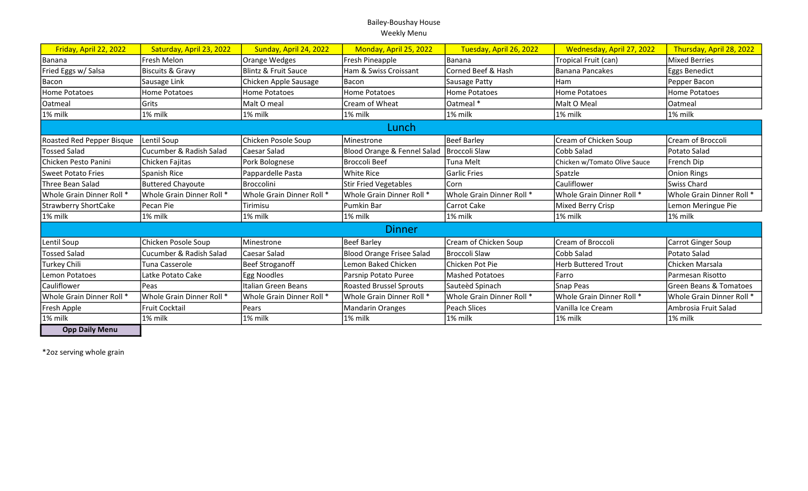| Friday, April 22, 2022      | Saturday, April 23, 2022    | Sunday, April 24, 2022    | Monday, April 25, 2022           | Tuesday, April 26, 2022   | Wednesday, April 27, 2022    | Thursday, April 28, 2022  |
|-----------------------------|-----------------------------|---------------------------|----------------------------------|---------------------------|------------------------------|---------------------------|
| Banana                      | Fresh Melon                 | Orange Wedges             | Fresh Pineapple                  | Banana                    | Tropical Fruit (can)         | Mixed Berries             |
| Fried Eggs w/ Salsa         | <b>Biscuits &amp; Gravy</b> | Blintz & Fruit Sauce      | Ham & Swiss Croissant            | Corned Beef & Hash        | lBanana Pancakes             | Eggs Benedict             |
| Bacon                       | Sausage Link                | Chicken Apple Sausage     | Bacon                            | Sausage Patty             | Ham                          | Pepper Bacon              |
| Home Potatoes               | Home Potatoes               | <b>Home Potatoes</b>      | <b>Home Potatoes</b>             | <b>Home Potatoes</b>      | <b>Home Potatoes</b>         | Home Potatoes             |
| Oatmeal                     | Grits                       | Malt O meal               | Cream of Wheat                   | Oatmeal *                 | Malt O Meal                  | Oatmeal                   |
| 1% milk                     | 1% milk                     | 1% milk                   | 1% milk                          | l 1% milk                 | 1% milk                      | 1% milk                   |
|                             |                             |                           | Lunch                            |                           |                              |                           |
| Roasted Red Pepper Bisque   | Lentil Soup                 | Chicken Posole Soup       | Minestrone                       | Beef Barley               | Cream of Chicken Soup        | Cream of Broccoli         |
| <b>Tossed Salad</b>         | Cucumber & Radish Salad     | Caesar Salad              | Blood Orange & Fennel Salad      | Broccoli Slaw             | Cobb Salad                   | Potato Salad              |
| Chicken Pesto Panini        | Chicken Fajitas             | Pork Bolognese            | IBroccoli Beef                   | Tuna Melt                 | Chicken w/Tomato Olive Sauce | French Dip                |
| <b>Sweet Potato Fries</b>   | Spanish Rice                | Pappardelle Pasta         | <b>White Rice</b>                | <b>Garlic Fries</b>       | Spatzle                      | Onion Rings               |
| Three Bean Salad            | <b>Buttered Chayoute</b>    | Broccolini                | <b>Stir Fried Vegetables</b>     | lCorn                     | Cauliflower                  | Swiss Chard               |
| Whole Grain Dinner Roll *   | Whole Grain Dinner Roll *   | Whole Grain Dinner Roll * | Whole Grain Dinner Roll *        | Whole Grain Dinner Roll * | Whole Grain Dinner Roll *    | Whole Grain Dinner Roll * |
| <b>Strawberry ShortCake</b> | Pecan Pie                   | Tirimisu                  | Pumkin Bar                       | <b>Carrot Cake</b>        | Mixed Berry Crisp            | Lemon Meringue Pie        |
| 1% milk                     | 1% milk                     | 1% milk                   | 1% milk                          | 1% milk                   | 1% milk                      | 1% milk                   |
| <b>Dinner</b>               |                             |                           |                                  |                           |                              |                           |
| Lentil Soup                 | Chicken Posole Soup         | Minestrone                | <b>Beef Barley</b>               | Cream of Chicken Soup     | Cream of Broccoli            | Carrot Ginger Soup        |
| <b>Tossed Salad</b>         | Cucumber & Radish Salad     | Caesar Salad              | <b>Blood Orange Frisee Salad</b> | Broccoli Slaw             | Cobb Salad                   | Potato Salad              |
| Turkey Chili                | Tuna Casserole              | Beef Stroganoff           | Lemon Baked Chicken              | Chicken Pot Pie           | <b>Herb Buttered Trout</b>   | Chicken Marsala           |
| <b>Lemon Potatoes</b>       | Latke Potato Cake           | Egg Noodles               | Parsnip Potato Puree             | <b>Mashed Potatoes</b>    | lFarro                       | <b>IParmesan Risotto</b>  |
| Cauliflower                 | Peas                        | Italian Green Beans       | <b>Roasted Brussel Sprouts</b>   | Sauteèd Spinach           | Snap Peas                    | Green Beans & Tomatoes    |
| Whole Grain Dinner Roll *   | Whole Grain Dinner Roll *   | Whole Grain Dinner Roll * | Whole Grain Dinner Roll *        | Whole Grain Dinner Roll * | Whole Grain Dinner Roll *    | Whole Grain Dinner Roll * |
| Fresh Apple                 | <b>Fruit Cocktail</b>       | Pears                     | <b>Mandarin Oranges</b>          | <b>Peach Slices</b>       | Vanilla Ice Cream            | Ambrosia Fruit Salad      |
| 1% milk                     | 1% milk                     | 1% milk                   | 1% milk                          | 1% milk                   | 1% milk                      | l 1% milk                 |
| <b>Opp Daily Menu</b>       |                             |                           |                                  |                           |                              |                           |